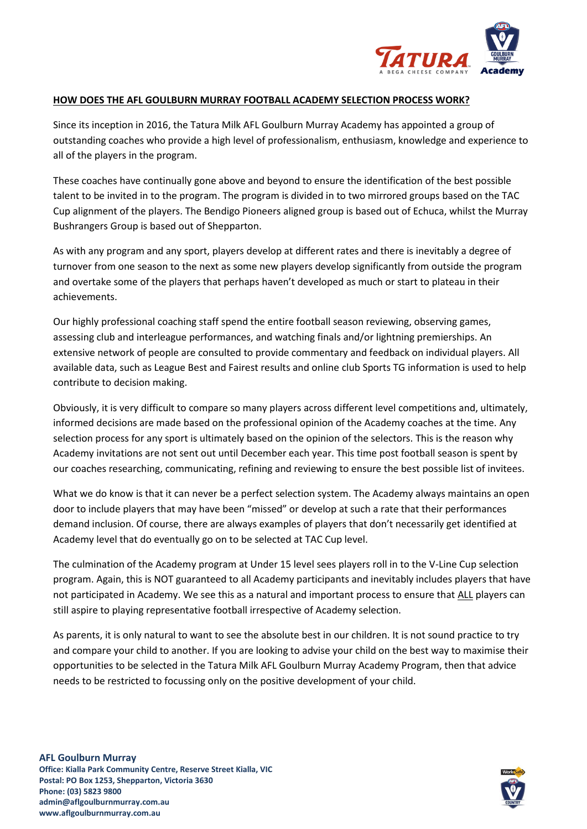

## **HOW DOES THE AFL GOULBURN MURRAY FOOTBALL ACADEMY SELECTION PROCESS WORK?**

Since its inception in 2016, the Tatura Milk AFL Goulburn Murray Academy has appointed a group of outstanding coaches who provide a high level of professionalism, enthusiasm, knowledge and experience to all of the players in the program.

These coaches have continually gone above and beyond to ensure the identification of the best possible talent to be invited in to the program. The program is divided in to two mirrored groups based on the TAC Cup alignment of the players. The Bendigo Pioneers aligned group is based out of Echuca, whilst the Murray Bushrangers Group is based out of Shepparton.

As with any program and any sport, players develop at different rates and there is inevitably a degree of turnover from one season to the next as some new players develop significantly from outside the program and overtake some of the players that perhaps haven't developed as much or start to plateau in their achievements.

Our highly professional coaching staff spend the entire football season reviewing, observing games, assessing club and interleague performances, and watching finals and/or lightning premierships. An extensive network of people are consulted to provide commentary and feedback on individual players. All available data, such as League Best and Fairest results and online club Sports TG information is used to help contribute to decision making.

Obviously, it is very difficult to compare so many players across different level competitions and, ultimately, informed decisions are made based on the professional opinion of the Academy coaches at the time. Any selection process for any sport is ultimately based on the opinion of the selectors. This is the reason why Academy invitations are not sent out until December each year. This time post football season is spent by our coaches researching, communicating, refining and reviewing to ensure the best possible list of invitees.

What we do know is that it can never be a perfect selection system. The Academy always maintains an open door to include players that may have been "missed" or develop at such a rate that their performances demand inclusion. Of course, there are always examples of players that don't necessarily get identified at Academy level that do eventually go on to be selected at TAC Cup level.

The culmination of the Academy program at Under 15 level sees players roll in to the V-Line Cup selection program. Again, this is NOT guaranteed to all Academy participants and inevitably includes players that have not participated in Academy. We see this as a natural and important process to ensure that ALL players can still aspire to playing representative football irrespective of Academy selection.

As parents, it is only natural to want to see the absolute best in our children. It is not sound practice to try and compare your child to another. If you are looking to advise your child on the best way to maximise their opportunities to be selected in the Tatura Milk AFL Goulburn Murray Academy Program, then that advice needs to be restricted to focussing only on the positive development of your child.